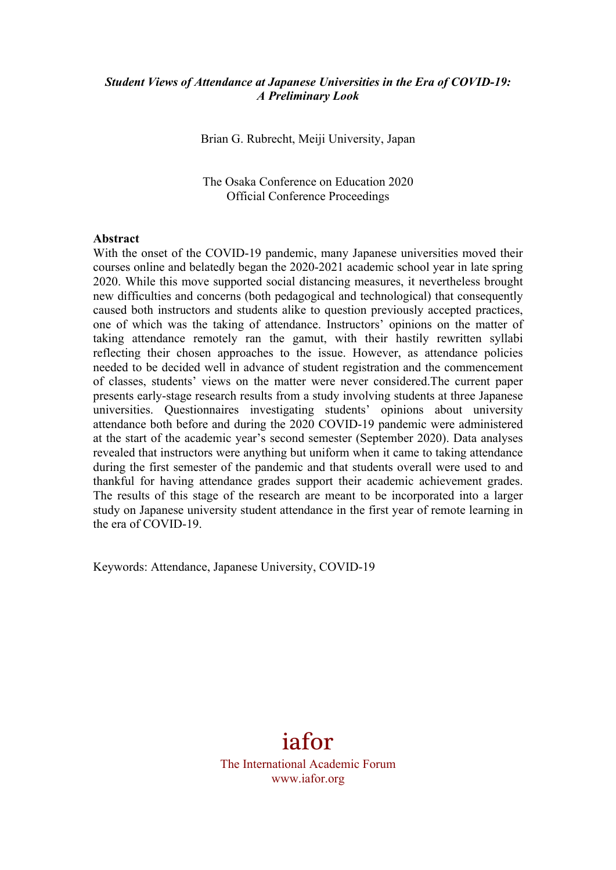#### *Student Views of Attendance at Japanese Universities in the Era of COVID-19: A Preliminary Look*

Brian G. Rubrecht, Meiji University, Japan

The Osaka Conference on Education 2020 Official Conference Proceedings

#### **Abstract**

With the onset of the COVID-19 pandemic, many Japanese universities moved their courses online and belatedly began the 2020-2021 academic school year in late spring 2020. While this move supported social distancing measures, it nevertheless brought new difficulties and concerns (both pedagogical and technological) that consequently caused both instructors and students alike to question previously accepted practices, one of which was the taking of attendance. Instructors' opinions on the matter of taking attendance remotely ran the gamut, with their hastily rewritten syllabi reflecting their chosen approaches to the issue. However, as attendance policies needed to be decided well in advance of student registration and the commencement of classes, students' views on the matter were never considered.The current paper presents early-stage research results from a study involving students at three Japanese universities. Questionnaires investigating students' opinions about university attendance both before and during the 2020 COVID-19 pandemic were administered at the start of the academic year's second semester (September 2020). Data analyses revealed that instructors were anything but uniform when it came to taking attendance during the first semester of the pandemic and that students overall were used to and thankful for having attendance grades support their academic achievement grades. The results of this stage of the research are meant to be incorporated into a larger study on Japanese university student attendance in the first year of remote learning in the era of COVID-19.

Keywords: Attendance, Japanese University, COVID-19

# iafor

The International Academic Forum www.iafor.org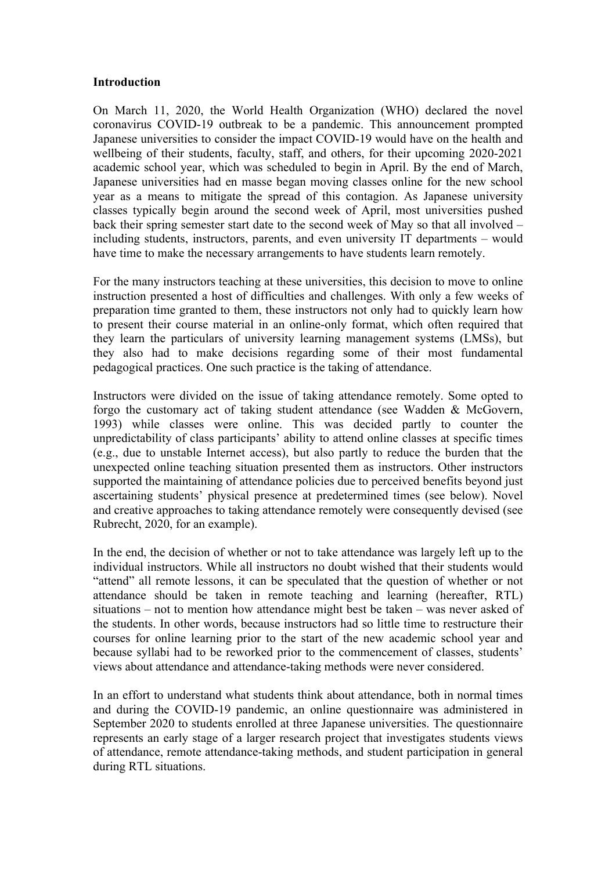#### **Introduction**

On March 11, 2020, the World Health Organization (WHO) declared the novel coronavirus COVID-19 outbreak to be a pandemic. This announcement prompted Japanese universities to consider the impact COVID-19 would have on the health and wellbeing of their students, faculty, staff, and others, for their upcoming 2020-2021 academic school year, which was scheduled to begin in April. By the end of March, Japanese universities had en masse began moving classes online for the new school year as a means to mitigate the spread of this contagion. As Japanese university classes typically begin around the second week of April, most universities pushed back their spring semester start date to the second week of May so that all involved – including students, instructors, parents, and even university IT departments – would have time to make the necessary arrangements to have students learn remotely.

For the many instructors teaching at these universities, this decision to move to online instruction presented a host of difficulties and challenges. With only a few weeks of preparation time granted to them, these instructors not only had to quickly learn how to present their course material in an online-only format, which often required that they learn the particulars of university learning management systems (LMSs), but they also had to make decisions regarding some of their most fundamental pedagogical practices. One such practice is the taking of attendance.

Instructors were divided on the issue of taking attendance remotely. Some opted to forgo the customary act of taking student attendance (see Wadden & McGovern, 1993) while classes were online. This was decided partly to counter the unpredictability of class participants' ability to attend online classes at specific times (e.g., due to unstable Internet access), but also partly to reduce the burden that the unexpected online teaching situation presented them as instructors. Other instructors supported the maintaining of attendance policies due to perceived benefits beyond just ascertaining students' physical presence at predetermined times (see below). Novel and creative approaches to taking attendance remotely were consequently devised (see Rubrecht, 2020, for an example).

In the end, the decision of whether or not to take attendance was largely left up to the individual instructors. While all instructors no doubt wished that their students would "attend" all remote lessons, it can be speculated that the question of whether or not attendance should be taken in remote teaching and learning (hereafter, RTL) situations – not to mention how attendance might best be taken – was never asked of the students. In other words, because instructors had so little time to restructure their courses for online learning prior to the start of the new academic school year and because syllabi had to be reworked prior to the commencement of classes, students' views about attendance and attendance-taking methods were never considered.

In an effort to understand what students think about attendance, both in normal times and during the COVID-19 pandemic, an online questionnaire was administered in September 2020 to students enrolled at three Japanese universities. The questionnaire represents an early stage of a larger research project that investigates students views of attendance, remote attendance-taking methods, and student participation in general during RTL situations.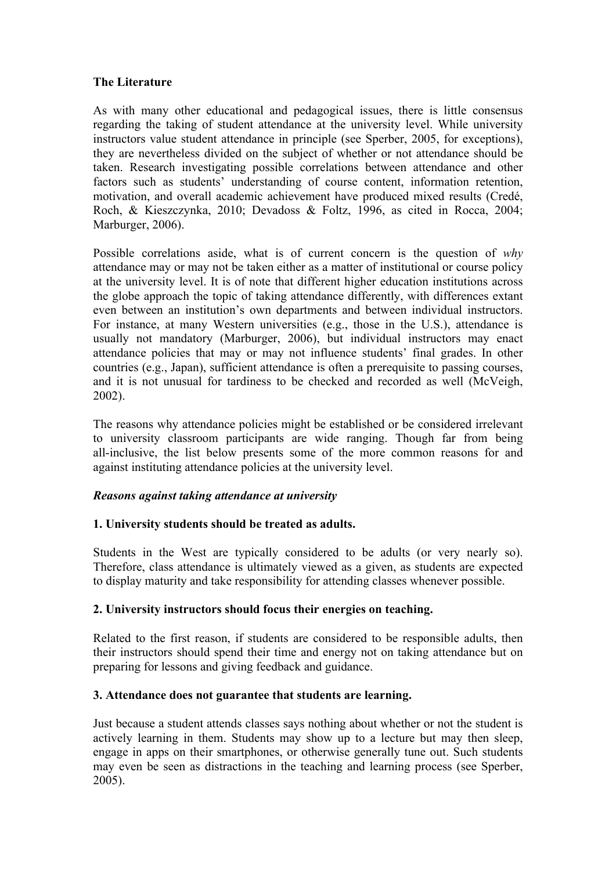#### **The Literature**

As with many other educational and pedagogical issues, there is little consensus regarding the taking of student attendance at the university level. While university instructors value student attendance in principle (see Sperber, 2005, for exceptions), they are nevertheless divided on the subject of whether or not attendance should be taken. Research investigating possible correlations between attendance and other factors such as students' understanding of course content, information retention, motivation, and overall academic achievement have produced mixed results (Credé, Roch, & Kieszczynka, 2010; Devadoss & Foltz, 1996, as cited in Rocca, 2004; Marburger, 2006).

Possible correlations aside, what is of current concern is the question of *why* attendance may or may not be taken either as a matter of institutional or course policy at the university level. It is of note that different higher education institutions across the globe approach the topic of taking attendance differently, with differences extant even between an institution's own departments and between individual instructors. For instance, at many Western universities (e.g., those in the U.S.), attendance is usually not mandatory (Marburger, 2006), but individual instructors may enact attendance policies that may or may not influence students' final grades. In other countries (e.g., Japan), sufficient attendance is often a prerequisite to passing courses, and it is not unusual for tardiness to be checked and recorded as well (McVeigh, 2002).

The reasons why attendance policies might be established or be considered irrelevant to university classroom participants are wide ranging. Though far from being all-inclusive, the list below presents some of the more common reasons for and against instituting attendance policies at the university level.

#### *Reasons against taking attendance at university*

## **1. University students should be treated as adults.**

Students in the West are typically considered to be adults (or very nearly so). Therefore, class attendance is ultimately viewed as a given, as students are expected to display maturity and take responsibility for attending classes whenever possible.

## **2. University instructors should focus their energies on teaching.**

Related to the first reason, if students are considered to be responsible adults, then their instructors should spend their time and energy not on taking attendance but on preparing for lessons and giving feedback and guidance.

#### **3. Attendance does not guarantee that students are learning.**

Just because a student attends classes says nothing about whether or not the student is actively learning in them. Students may show up to a lecture but may then sleep, engage in apps on their smartphones, or otherwise generally tune out. Such students may even be seen as distractions in the teaching and learning process (see Sperber, 2005).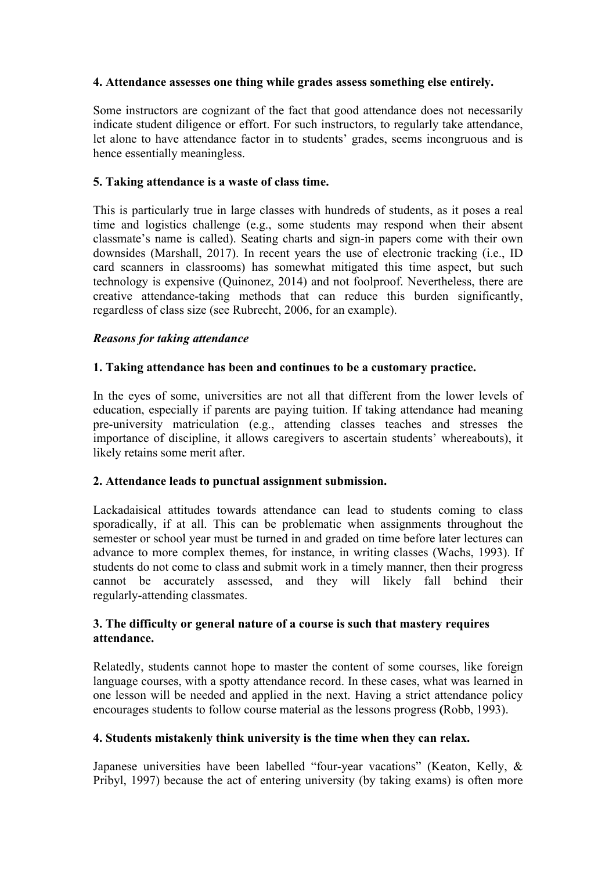## **4. Attendance assesses one thing while grades assess something else entirely.**

Some instructors are cognizant of the fact that good attendance does not necessarily indicate student diligence or effort. For such instructors, to regularly take attendance, let alone to have attendance factor in to students' grades, seems incongruous and is hence essentially meaningless.

#### **5. Taking attendance is a waste of class time.**

This is particularly true in large classes with hundreds of students, as it poses a real time and logistics challenge (e.g., some students may respond when their absent classmate's name is called). Seating charts and sign-in papers come with their own downsides (Marshall, 2017). In recent years the use of electronic tracking (i.e., ID card scanners in classrooms) has somewhat mitigated this time aspect, but such technology is expensive (Quinonez, 2014) and not foolproof. Nevertheless, there are creative attendance-taking methods that can reduce this burden significantly, regardless of class size (see Rubrecht, 2006, for an example).

#### *Reasons for taking attendance*

#### **1. Taking attendance has been and continues to be a customary practice.**

In the eyes of some, universities are not all that different from the lower levels of education, especially if parents are paying tuition. If taking attendance had meaning pre-university matriculation (e.g., attending classes teaches and stresses the importance of discipline, it allows caregivers to ascertain students' whereabouts), it likely retains some merit after.

## **2. Attendance leads to punctual assignment submission.**

Lackadaisical attitudes towards attendance can lead to students coming to class sporadically, if at all. This can be problematic when assignments throughout the semester or school year must be turned in and graded on time before later lectures can advance to more complex themes, for instance, in writing classes (Wachs, 1993). If students do not come to class and submit work in a timely manner, then their progress cannot be accurately assessed, and they will likely fall behind their regularly-attending classmates.

#### **3. The difficulty or general nature of a course is such that mastery requires attendance.**

Relatedly, students cannot hope to master the content of some courses, like foreign language courses, with a spotty attendance record. In these cases, what was learned in one lesson will be needed and applied in the next. Having a strict attendance policy encourages students to follow course material as the lessons progress **(**Robb, 1993).

#### **4. Students mistakenly think university is the time when they can relax.**

Japanese universities have been labelled "four-year vacations" (Keaton, Kelly, & Pribyl, 1997) because the act of entering university (by taking exams) is often more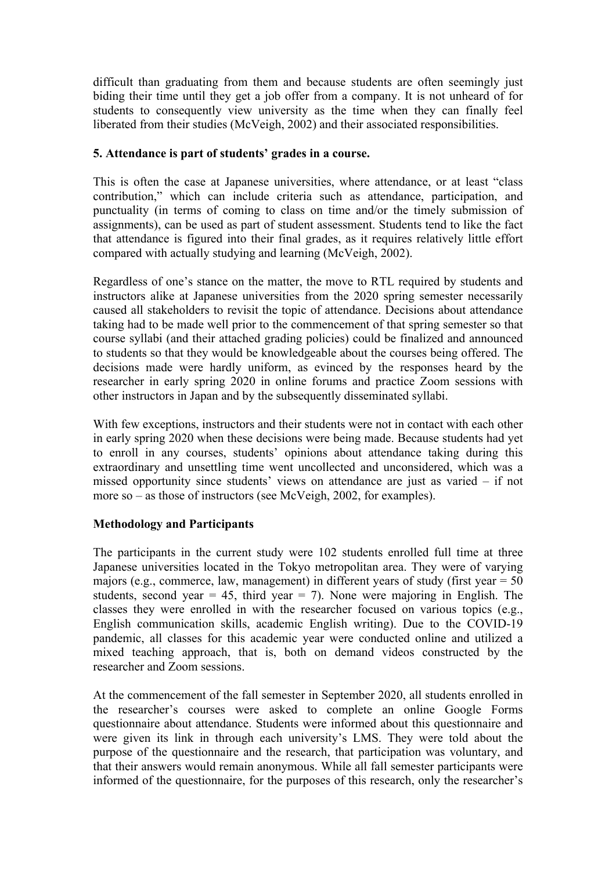difficult than graduating from them and because students are often seemingly just biding their time until they get a job offer from a company. It is not unheard of for students to consequently view university as the time when they can finally feel liberated from their studies (McVeigh, 2002) and their associated responsibilities.

#### **5. Attendance is part of students' grades in a course.**

This is often the case at Japanese universities, where attendance, or at least "class contribution," which can include criteria such as attendance, participation, and punctuality (in terms of coming to class on time and/or the timely submission of assignments), can be used as part of student assessment. Students tend to like the fact that attendance is figured into their final grades, as it requires relatively little effort compared with actually studying and learning (McVeigh, 2002).

Regardless of one's stance on the matter, the move to RTL required by students and instructors alike at Japanese universities from the 2020 spring semester necessarily caused all stakeholders to revisit the topic of attendance. Decisions about attendance taking had to be made well prior to the commencement of that spring semester so that course syllabi (and their attached grading policies) could be finalized and announced to students so that they would be knowledgeable about the courses being offered. The decisions made were hardly uniform, as evinced by the responses heard by the researcher in early spring 2020 in online forums and practice Zoom sessions with other instructors in Japan and by the subsequently disseminated syllabi.

With few exceptions, instructors and their students were not in contact with each other in early spring 2020 when these decisions were being made. Because students had yet to enroll in any courses, students' opinions about attendance taking during this extraordinary and unsettling time went uncollected and unconsidered, which was a missed opportunity since students' views on attendance are just as varied – if not more so – as those of instructors (see McVeigh, 2002, for examples).

## **Methodology and Participants**

The participants in the current study were 102 students enrolled full time at three Japanese universities located in the Tokyo metropolitan area. They were of varying majors (e.g., commerce, law, management) in different years of study (first year  $= 50$ students, second year  $= 45$ , third year  $= 7$ ). None were majoring in English. The classes they were enrolled in with the researcher focused on various topics (e.g., English communication skills, academic English writing). Due to the COVID-19 pandemic, all classes for this academic year were conducted online and utilized a mixed teaching approach, that is, both on demand videos constructed by the researcher and Zoom sessions.

At the commencement of the fall semester in September 2020, all students enrolled in the researcher's courses were asked to complete an online Google Forms questionnaire about attendance. Students were informed about this questionnaire and were given its link in through each university's LMS. They were told about the purpose of the questionnaire and the research, that participation was voluntary, and that their answers would remain anonymous. While all fall semester participants were informed of the questionnaire, for the purposes of this research, only the researcher's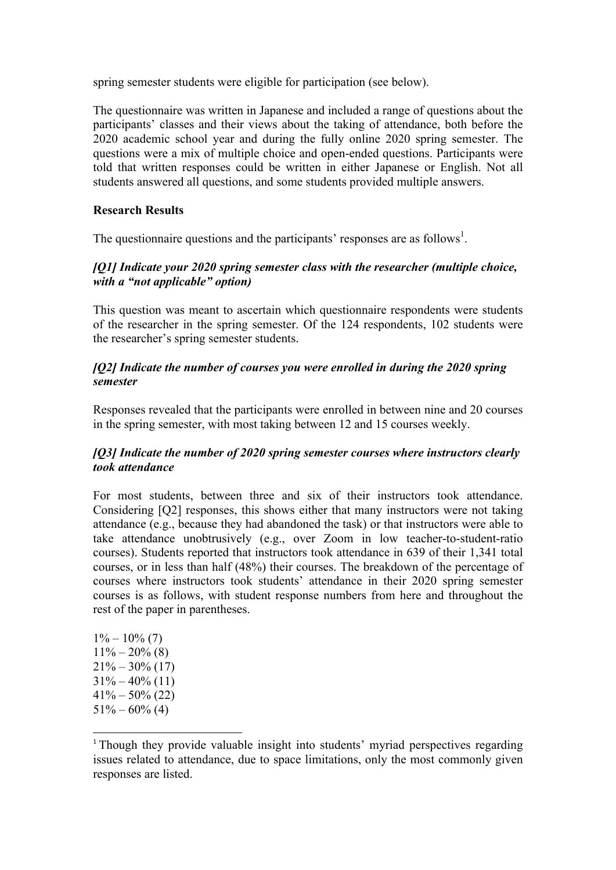spring semester students were eligible for participation (see below).

The questionnaire was written in Japanese and included a range of questions about the participants' classes and their views about the taking of attendance, both before the 2020 academic school year and during the fully online 2020 spring semester. The questions were a mix of multiple choice and open-ended questions. Participants were told that written responses could be written in either Japanese or English. Not all students answered all questions, and some students provided multiple answers.

### **Research Results**

The questionnaire questions and the participants' responses are as follows<sup>1</sup>.

# *[Q1] Indicate your 2020 spring semester class with the researcher (multiple choice, with a "not applicable" option)*

This question was meant to ascertain which questionnaire respondents were students of the researcher in the spring semester. Of the 124 respondents, 102 students were the researcher's spring semester students.

### *[Q2] Indicate the number of courses you were enrolled in during the 2020 spring semester*

Responses revealed that the participants were enrolled in between nine and 20 courses in the spring semester, with most taking between 12 and 15 courses weekly.

## *[Q3] Indicate the number of 2020 spring semester courses where instructors clearly took attendance*

For most students, between three and six of their instructors took attendance. Considering [Q2] responses, this shows either that many instructors were not taking attendance (e.g., because they had abandoned the task) or that instructors were able to take attendance unobtrusively (e.g., over Zoom in low teacher-to-student-ratio courses). Students reported that instructors took attendance in 639 of their 1,341 total courses, or in less than half (48%) their courses. The breakdown of the percentage of courses where instructors took students' attendance in their 2020 spring semester courses is as follows, with student response numbers from here and throughout the rest of the paper in parentheses.

 $1\% - 10\%$  (7)  $11\% - 20\%$  (8)  $21\% - 30\%$  (17)  $31\% - 40\%$  (11)  $41\% - 50\%$  (22)  $51\% - 60\%$  (4)

 

<sup>&</sup>lt;sup>1</sup> Though they provide valuable insight into students' myriad perspectives regarding issues related to attendance, due to space limitations, only the most commonly given responses are listed.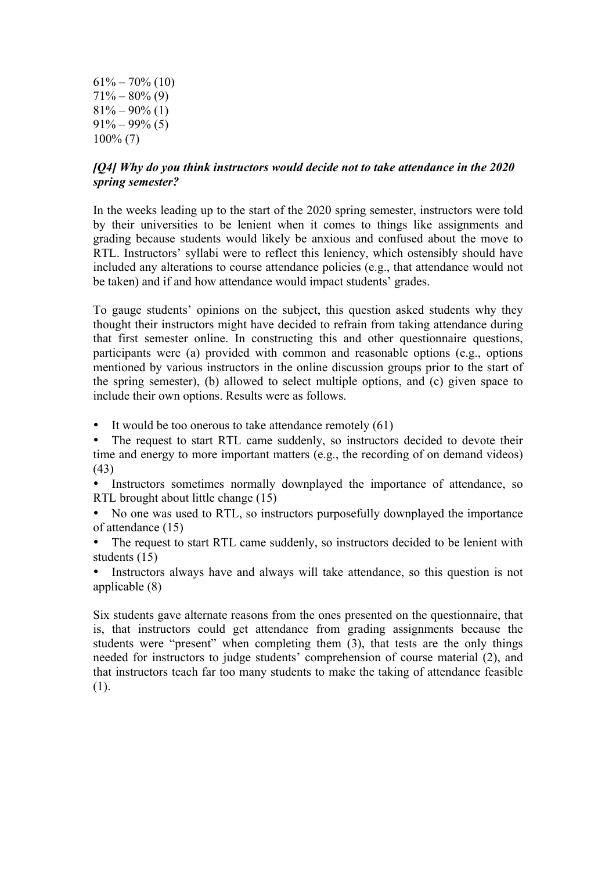$61\% - 70\%$  (10)  $71\% - 80\%$  (9)  $81\% - 90\%$  (1)  $91\% - 99\%$  (5) 100% (7)

#### *[Q4] Why do you think instructors would decide not to take attendance in the 2020 spring semester?*

In the weeks leading up to the start of the 2020 spring semester, instructors were told by their universities to be lenient when it comes to things like assignments and grading because students would likely be anxious and confused about the move to RTL. Instructors' syllabi were to reflect this leniency, which ostensibly should have included any alterations to course attendance policies (e.g., that attendance would not be taken) and if and how attendance would impact students' grades.

To gauge students' opinions on the subject, this question asked students why they thought their instructors might have decided to refrain from taking attendance during that first semester online. In constructing this and other questionnaire questions, participants were (a) provided with common and reasonable options (e.g., options mentioned by various instructors in the online discussion groups prior to the start of the spring semester), (b) allowed to select multiple options, and (c) given space to include their own options. Results were as follows.

• It would be too onerous to take attendance remotely (61)

• The request to start RTL came suddenly, so instructors decided to devote their time and energy to more important matters (e.g., the recording of on demand videos) (43)

• Instructors sometimes normally downplayed the importance of attendance, so RTL brought about little change (15)

• No one was used to RTL, so instructors purposefully downplayed the importance of attendance (15)

The request to start RTL came suddenly, so instructors decided to be lenient with students (15)

Instructors always have and always will take attendance, so this question is not applicable (8)

Six students gave alternate reasons from the ones presented on the questionnaire, that is, that instructors could get attendance from grading assignments because the students were "present" when completing them  $(3)$ , that tests are the only things needed for instructors to judge students' comprehension of course material (2), and that instructors teach far too many students to make the taking of attendance feasible (1).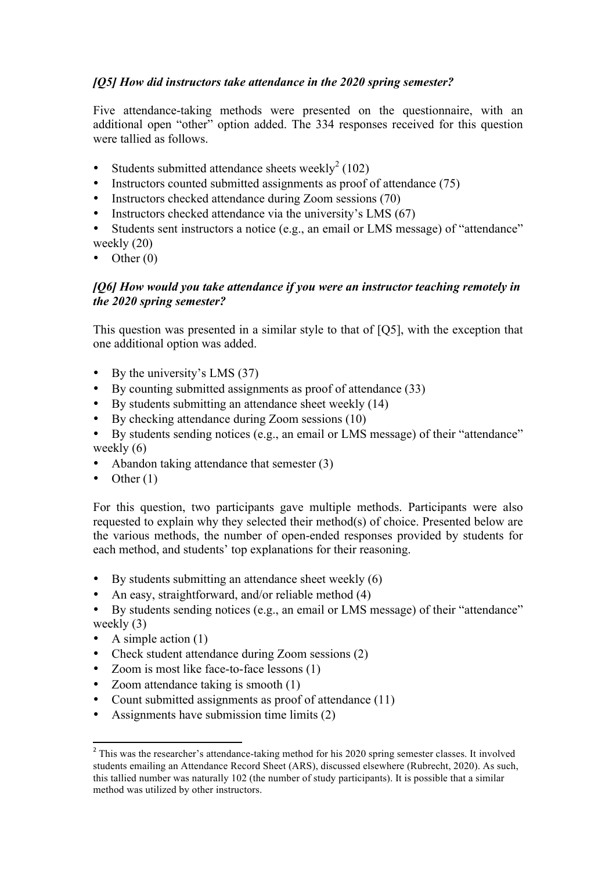# *[Q5] How did instructors take attendance in the 2020 spring semester?*

Five attendance-taking methods were presented on the questionnaire, with an additional open "other" option added. The 334 responses received for this question were tallied as follows.

- Students submitted attendance sheets weekly<sup>2</sup> (102)
- Instructors counted submitted assignments as proof of attendance (75)
- Instructors checked attendance during Zoom sessions (70)
- Instructors checked attendance via the university's LMS (67)
- Students sent instructors a notice (e.g., an email or LMS message) of "attendance" weekly (20)
- Other  $(0)$

## *[Q6] How would you take attendance if you were an instructor teaching remotely in the 2020 spring semester?*

This question was presented in a similar style to that of [Q5], with the exception that one additional option was added.

- By the university's LMS (37)
- By counting submitted assignments as proof of attendance (33)
- By students submitting an attendance sheet weekly (14)
- By checking attendance during Zoom sessions (10)
- By students sending notices (e.g., an email or LMS message) of their "attendance" weekly  $(6)$
- Abandon taking attendance that semester (3)
- Other  $(1)$

For this question, two participants gave multiple methods. Participants were also requested to explain why they selected their method(s) of choice. Presented below are the various methods, the number of open-ended responses provided by students for each method, and students' top explanations for their reasoning.

- By students submitting an attendance sheet weekly (6)
- An easy, straightforward, and/or reliable method (4)

• By students sending notices (e.g., an email or LMS message) of their "attendance" weekly (3)

- A simple action  $(1)$
- Check student attendance during Zoom sessions (2)
- Zoom is most like face-to-face lessons (1)
- Zoom attendance taking is smooth (1)
- Count submitted assignments as proof of attendance (11)
- Assignments have submission time limits (2)

<sup>&</sup>lt;sup>2</sup> This was the researcher's attendance-taking method for his 2020 spring semester classes. It involved students emailing an Attendance Record Sheet (ARS), discussed elsewhere (Rubrecht, 2020). As such, this tallied number was naturally 102 (the number of study participants). It is possible that a similar method was utilized by other instructors.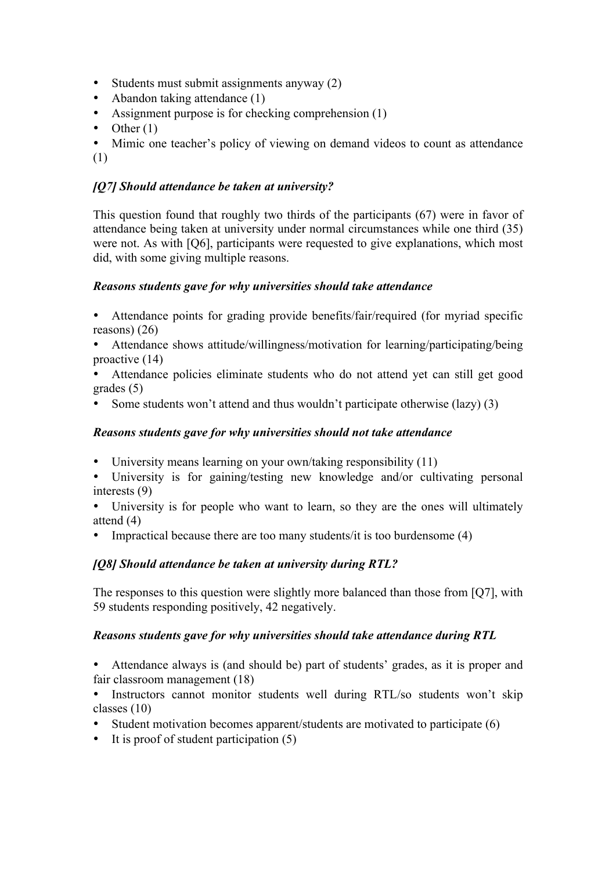- Students must submit assignments anyway (2)
- Abandon taking attendance (1)
- Assignment purpose is for checking comprehension (1)
- Other  $(1)$

• Mimic one teacher's policy of viewing on demand videos to count as attendance (1)

# *[Q7] Should attendance be taken at university?*

This question found that roughly two thirds of the participants (67) were in favor of attendance being taken at university under normal circumstances while one third (35) were not. As with [Q6], participants were requested to give explanations, which most did, with some giving multiple reasons.

# *Reasons students gave for why universities should take attendance*

• Attendance points for grading provide benefits/fair/required (for myriad specific reasons) (26)

- Attendance shows attitude/willingness/motivation for learning/participating/being proactive (14)
- Attendance policies eliminate students who do not attend yet can still get good grades (5)
- Some students won't attend and thus wouldn't participate otherwise (lazy) (3)

## *Reasons students gave for why universities should not take attendance*

- University means learning on your own/taking responsibility (11)
- University is for gaining/testing new knowledge and/or cultivating personal interests (9)

• University is for people who want to learn, so they are the ones will ultimately attend (4)

• Impractical because there are too many students/it is too burdensome (4)

# *[Q8] Should attendance be taken at university during RTL?*

The responses to this question were slightly more balanced than those from [Q7], with 59 students responding positively, 42 negatively.

## *Reasons students gave for why universities should take attendance during RTL*

• Attendance always is (and should be) part of students' grades, as it is proper and fair classroom management (18)

Instructors cannot monitor students well during RTL/so students won't skip classes (10)

- Student motivation becomes apparent/students are motivated to participate (6)
- It is proof of student participation (5)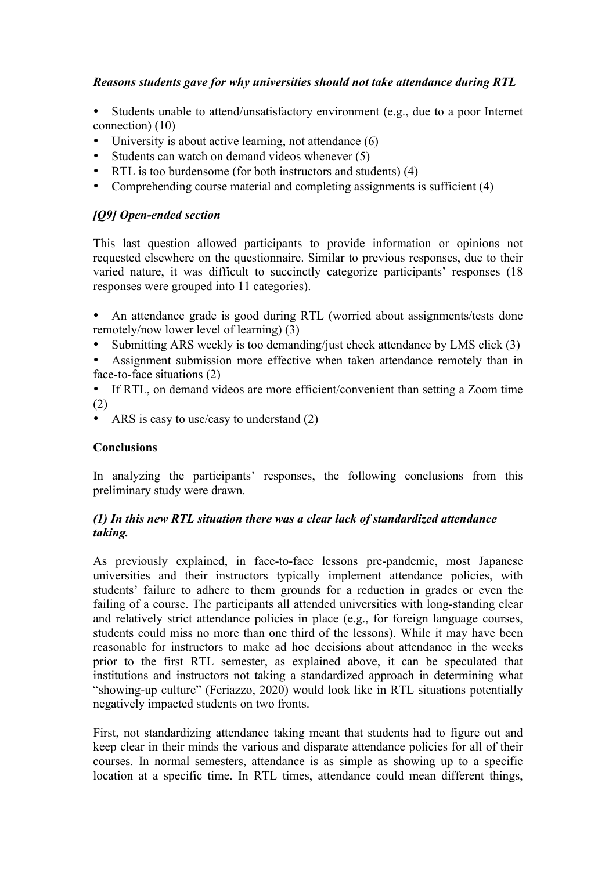# *Reasons students gave for why universities should not take attendance during RTL*

- Students unable to attend/unsatisfactory environment (e.g., due to a poor Internet connection) (10)
- University is about active learning, not attendance (6)
- Students can watch on demand videos whenever (5)
- RTL is too burdensome (for both instructors and students) (4)
- Comprehending course material and completing assignments is sufficient (4)

# *[Q9] Open-ended section*

This last question allowed participants to provide information or opinions not requested elsewhere on the questionnaire. Similar to previous responses, due to their varied nature, it was difficult to succinctly categorize participants' responses (18 responses were grouped into 11 categories).

- An attendance grade is good during RTL (worried about assignments/tests done remotely/now lower level of learning) (3)
- Submitting ARS weekly is too demanding/just check attendance by LMS click (3)
- Assignment submission more effective when taken attendance remotely than in face-to-face situations (2)
- If RTL, on demand videos are more efficient/convenient than setting a Zoom time (2)
- ARS is easy to use/easy to understand (2)

## **Conclusions**

In analyzing the participants' responses, the following conclusions from this preliminary study were drawn.

## *(1) In this new RTL situation there was a clear lack of standardized attendance taking.*

As previously explained, in face-to-face lessons pre-pandemic, most Japanese universities and their instructors typically implement attendance policies, with students' failure to adhere to them grounds for a reduction in grades or even the failing of a course. The participants all attended universities with long-standing clear and relatively strict attendance policies in place (e.g., for foreign language courses, students could miss no more than one third of the lessons). While it may have been reasonable for instructors to make ad hoc decisions about attendance in the weeks prior to the first RTL semester, as explained above, it can be speculated that institutions and instructors not taking a standardized approach in determining what "showing-up culture" (Feriazzo, 2020) would look like in RTL situations potentially negatively impacted students on two fronts.

First, not standardizing attendance taking meant that students had to figure out and keep clear in their minds the various and disparate attendance policies for all of their courses. In normal semesters, attendance is as simple as showing up to a specific location at a specific time. In RTL times, attendance could mean different things,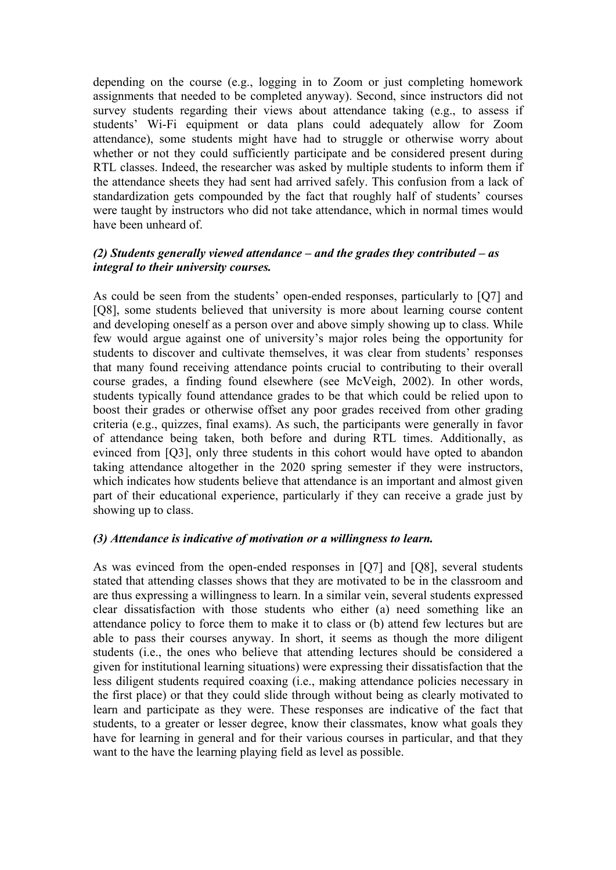depending on the course (e.g., logging in to Zoom or just completing homework assignments that needed to be completed anyway). Second, since instructors did not survey students regarding their views about attendance taking (e.g., to assess if students' Wi-Fi equipment or data plans could adequately allow for Zoom attendance), some students might have had to struggle or otherwise worry about whether or not they could sufficiently participate and be considered present during RTL classes. Indeed, the researcher was asked by multiple students to inform them if the attendance sheets they had sent had arrived safely. This confusion from a lack of standardization gets compounded by the fact that roughly half of students' courses were taught by instructors who did not take attendance, which in normal times would have been unheard of.

#### *(2) Students generally viewed attendance – and the grades they contributed – as integral to their university courses.*

As could be seen from the students' open-ended responses, particularly to [Q7] and [Q8], some students believed that university is more about learning course content and developing oneself as a person over and above simply showing up to class. While few would argue against one of university's major roles being the opportunity for students to discover and cultivate themselves, it was clear from students' responses that many found receiving attendance points crucial to contributing to their overall course grades, a finding found elsewhere (see McVeigh, 2002). In other words, students typically found attendance grades to be that which could be relied upon to boost their grades or otherwise offset any poor grades received from other grading criteria (e.g., quizzes, final exams). As such, the participants were generally in favor of attendance being taken, both before and during RTL times. Additionally, as evinced from [Q3], only three students in this cohort would have opted to abandon taking attendance altogether in the 2020 spring semester if they were instructors, which indicates how students believe that attendance is an important and almost given part of their educational experience, particularly if they can receive a grade just by showing up to class.

#### *(3) Attendance is indicative of motivation or a willingness to learn.*

As was evinced from the open-ended responses in [Q7] and [Q8], several students stated that attending classes shows that they are motivated to be in the classroom and are thus expressing a willingness to learn. In a similar vein, several students expressed clear dissatisfaction with those students who either (a) need something like an attendance policy to force them to make it to class or (b) attend few lectures but are able to pass their courses anyway. In short, it seems as though the more diligent students (i.e., the ones who believe that attending lectures should be considered a given for institutional learning situations) were expressing their dissatisfaction that the less diligent students required coaxing (i.e., making attendance policies necessary in the first place) or that they could slide through without being as clearly motivated to learn and participate as they were. These responses are indicative of the fact that students, to a greater or lesser degree, know their classmates, know what goals they have for learning in general and for their various courses in particular, and that they want to the have the learning playing field as level as possible.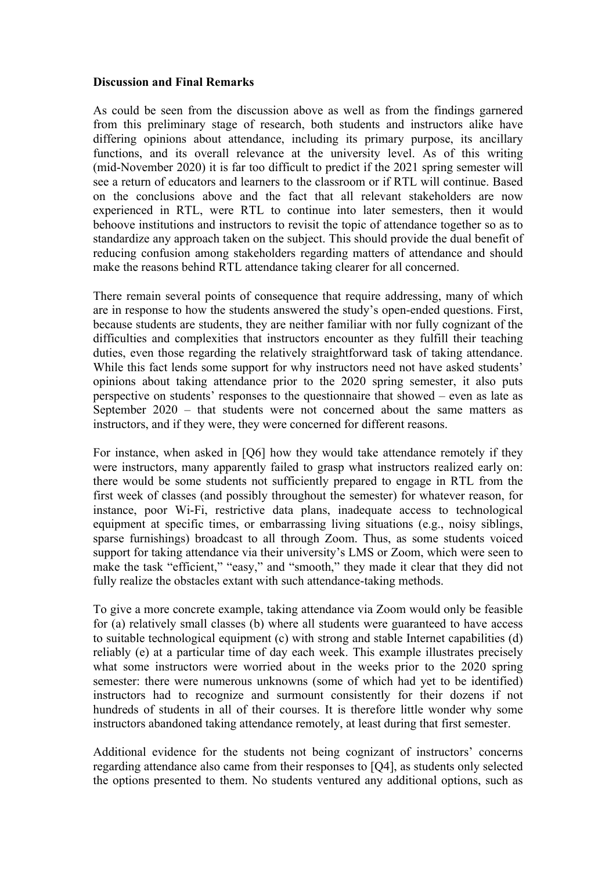#### **Discussion and Final Remarks**

As could be seen from the discussion above as well as from the findings garnered from this preliminary stage of research, both students and instructors alike have differing opinions about attendance, including its primary purpose, its ancillary functions, and its overall relevance at the university level. As of this writing (mid-November 2020) it is far too difficult to predict if the 2021 spring semester will see a return of educators and learners to the classroom or if RTL will continue. Based on the conclusions above and the fact that all relevant stakeholders are now experienced in RTL, were RTL to continue into later semesters, then it would behoove institutions and instructors to revisit the topic of attendance together so as to standardize any approach taken on the subject. This should provide the dual benefit of reducing confusion among stakeholders regarding matters of attendance and should make the reasons behind RTL attendance taking clearer for all concerned.

There remain several points of consequence that require addressing, many of which are in response to how the students answered the study's open-ended questions. First, because students are students, they are neither familiar with nor fully cognizant of the difficulties and complexities that instructors encounter as they fulfill their teaching duties, even those regarding the relatively straightforward task of taking attendance. While this fact lends some support for why instructors need not have asked students' opinions about taking attendance prior to the 2020 spring semester, it also puts perspective on students' responses to the questionnaire that showed – even as late as September 2020 – that students were not concerned about the same matters as instructors, and if they were, they were concerned for different reasons.

For instance, when asked in [Q6] how they would take attendance remotely if they were instructors, many apparently failed to grasp what instructors realized early on: there would be some students not sufficiently prepared to engage in RTL from the first week of classes (and possibly throughout the semester) for whatever reason, for instance, poor Wi-Fi, restrictive data plans, inadequate access to technological equipment at specific times, or embarrassing living situations (e.g., noisy siblings, sparse furnishings) broadcast to all through Zoom. Thus, as some students voiced support for taking attendance via their university's LMS or Zoom, which were seen to make the task "efficient," "easy," and "smooth," they made it clear that they did not fully realize the obstacles extant with such attendance-taking methods.

To give a more concrete example, taking attendance via Zoom would only be feasible for (a) relatively small classes (b) where all students were guaranteed to have access to suitable technological equipment (c) with strong and stable Internet capabilities (d) reliably (e) at a particular time of day each week. This example illustrates precisely what some instructors were worried about in the weeks prior to the 2020 spring semester: there were numerous unknowns (some of which had yet to be identified) instructors had to recognize and surmount consistently for their dozens if not hundreds of students in all of their courses. It is therefore little wonder why some instructors abandoned taking attendance remotely, at least during that first semester.

Additional evidence for the students not being cognizant of instructors' concerns regarding attendance also came from their responses to [Q4], as students only selected the options presented to them. No students ventured any additional options, such as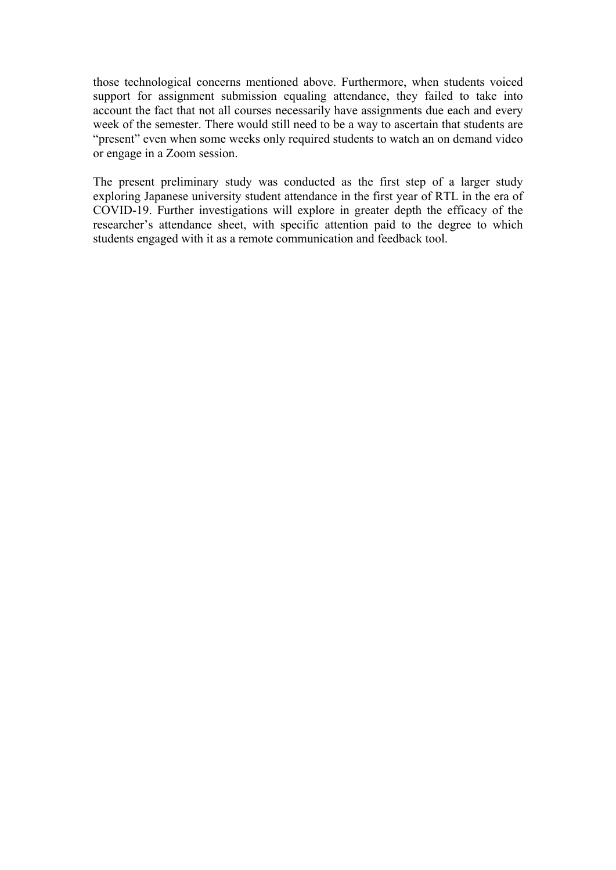those technological concerns mentioned above. Furthermore, when students voiced support for assignment submission equaling attendance, they failed to take into account the fact that not all courses necessarily have assignments due each and every week of the semester. There would still need to be a way to ascertain that students are "present" even when some weeks only required students to watch an on demand video or engage in a Zoom session.

The present preliminary study was conducted as the first step of a larger study exploring Japanese university student attendance in the first year of RTL in the era of COVID-19. Further investigations will explore in greater depth the efficacy of the researcher's attendance sheet, with specific attention paid to the degree to which students engaged with it as a remote communication and feedback tool.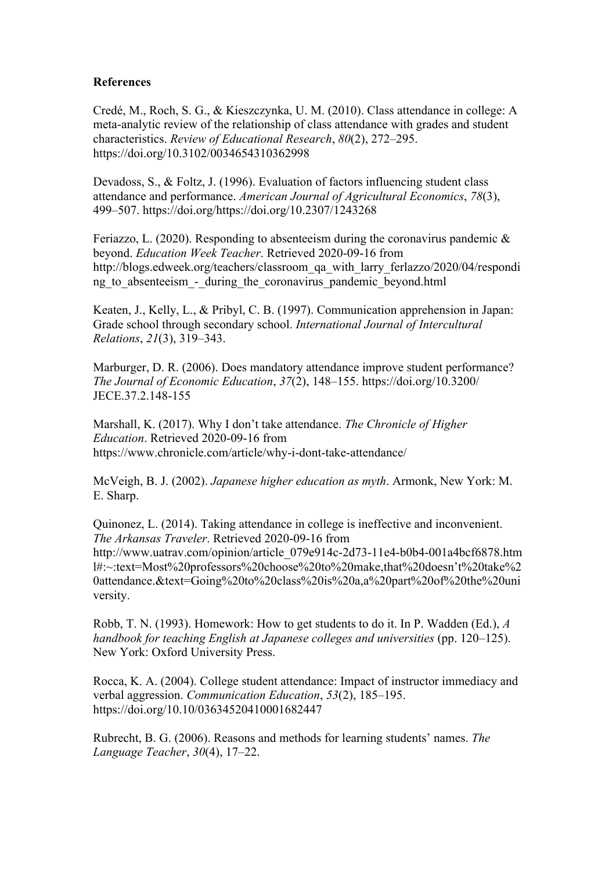#### **References**

Credé, M., Roch, S. G., & Kieszczynka, U. M. (2010). Class attendance in college: A meta-analytic review of the relationship of class attendance with grades and student characteristics. *Review of Educational Research*, *80*(2), 272–295. https://doi.org/10.3102/0034654310362998

Devadoss, S., & Foltz, J. (1996). Evaluation of factors influencing student class attendance and performance. *American Journal of Agricultural Economics*, *78*(3), 499–507. https://doi.org/https://doi.org/10.2307/1243268

Feriazzo, L. (2020). Responding to absenteeism during the coronavirus pandemic  $\&$ beyond. *Education Week Teacher*. Retrieved 2020-09-16 from http://blogs.edweek.org/teachers/classroom\_qa\_with\_larry\_ferlazzo/2020/04/respondi ng to absenteeism - during the coronavirus pandemic beyond.html

Keaten, J., Kelly, L., & Pribyl, C. B. (1997). Communication apprehension in Japan: Grade school through secondary school. *International Journal of Intercultural Relations*, *21*(3), 319–343.

Marburger, D. R. (2006). Does mandatory attendance improve student performance? *The Journal of Economic Education*, *37*(2), 148–155. https://doi.org/10.3200/ JECE.37.2.148-155

Marshall, K. (2017). Why I don't take attendance. *The Chronicle of Higher Education*. Retrieved 2020-09-16 from https://www.chronicle.com/article/why-i-dont-take-attendance/

McVeigh, B. J. (2002). *Japanese higher education as myth*. Armonk, New York: M. E. Sharp.

Quinonez, L. (2014). Taking attendance in college is ineffective and inconvenient. *The Arkansas Traveler*. Retrieved 2020-09-16 from http://www.uatrav.com/opinion/article\_079e914c-2d73-11e4-b0b4-001a4bcf6878.htm l#:~:text=Most%20professors%20choose%20to%20make,that%20doesn't%20take%2 0attendance.&text=Going%20to%20class%20is%20a,a%20part%20of%20the%20uni versity.

Robb, T. N. (1993). Homework: How to get students to do it. In P. Wadden (Ed.), *A handbook for teaching English at Japanese colleges and universities* (pp. 120–125). New York: Oxford University Press.

Rocca, K. A. (2004). College student attendance: Impact of instructor immediacy and verbal aggression. *Communication Education*, *53*(2), 185–195. https://doi.org/10.10/03634520410001682447

Rubrecht, B. G. (2006). Reasons and methods for learning students' names. *The Language Teacher*, *30*(4), 17–22.